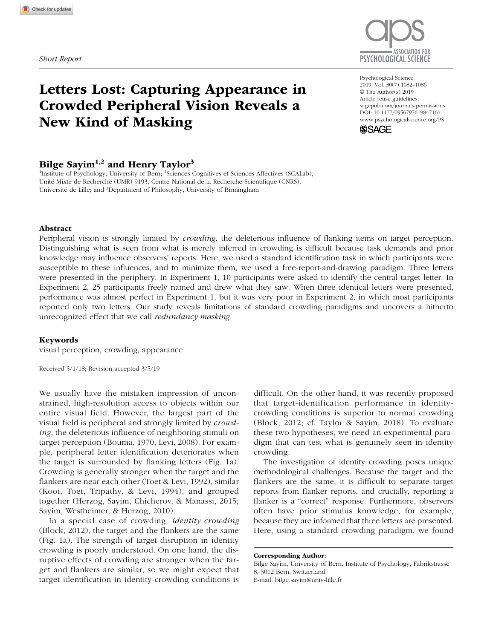

# Letters Lost: Capturing Appearance in Crowded Peripheral Vision Reveals a New Kind of Masking

# Bilge Sayim<sup>1,2</sup> and Henry Taylor<sup>3</sup>

<sup>1</sup>Institute of Psychology, University of Bern; <sup>2</sup>Sciences Cognitives et Sciences Affectives (SCALab), Unité Mixte de Recherche (UMR) 9193, Centre National de la Recherche Scientifique (CNRS), Université de Lille; and <sup>3</sup>Department of Philosophy, University of Birmingham

https://doi.org/10.1177/0956797619847166 DOI: 10.1177/0956797619847166 Psychological Science 2019, Vol. 30(7) 1082–1086 © The Author(s) 2019 Article reuse guidelines: [sagepub.com/journals-permissions](https://sagepub.com/journals-permissions) [www.psychologicalscience.org/PS](http://www.psychologicalscience.org/ps)



#### Abstract

Peripheral vision is strongly limited by *crowding*, the deleterious influence of flanking items on target perception. Distinguishing what is seen from what is merely inferred in crowding is difficult because task demands and prior knowledge may influence observers' reports. Here, we used a standard identification task in which participants were susceptible to these influences, and to minimize them, we used a free-report-and-drawing paradigm. Three letters were presented in the periphery. In Experiment 1, 10 participants were asked to identify the central target letter. In Experiment 2, 25 participants freely named and drew what they saw. When three identical letters were presented, performance was almost perfect in Experiment 1, but it was very poor in Experiment 2, in which most participants reported only two letters. Our study reveals limitations of standard crowding paradigms and uncovers a hitherto unrecognized effect that we call *redundancy masking*.

#### Keywords

visual perception, crowding, appearance

Received 5/1/18; Revision accepted 3/5/19

We usually have the mistaken impression of unconstrained, high-resolution access to objects within our entire visual field. However, the largest part of the visual field is peripheral and strongly limited by *crowding*, the deleterious influence of neighboring stimuli on target perception (Bouma, 1970; Levi, 2008). For example, peripheral letter identification deteriorates when the target is surrounded by flanking letters (Fig. 1a). Crowding is generally stronger when the target and the flankers are near each other (Toet & Levi, 1992), similar (Kooi, Toet, Tripathy, & Levi, 1994), and grouped together (Herzog, Sayim, Chicherov, & Manassi, 2015; Sayim, Westheimer, & Herzog, 2010).

In a special case of crowding, *identity crowding* (Block, 2012), the target and the flankers are the same (Fig. 1a). The strength of target disruption in identity crowding is poorly understood. On one hand, the disruptive effects of crowding are stronger when the target and flankers are similar, so we might expect that target identification in identity-crowding conditions is

difficult. On the other hand, it was recently proposed that target-identification performance in identitycrowding conditions is superior to normal crowding (Block, 2012; cf. Taylor & Sayim, 2018). To evaluate these two hypotheses, we need an experimental paradigm that can test what is genuinely seen in identity crowding.

The investigation of identity crowding poses unique methodological challenges. Because the target and the flankers are the same, it is difficult to separate target reports from flanker reports, and crucially, reporting a flanker is a "correct" response. Furthermore, observers often have prior stimulus knowledge, for example, because they are informed that three letters are presented. Here, using a standard crowding paradigm, we found

Corresponding Author:

Bilge Sayim, University of Bern, Institute of Psychology, Fabrikstrasse 8, 3012 Bern, Switzerland E-mail: [bilge.sayim@univ-lille.fr](mailto:bilge.sayim@univ-lille.fr)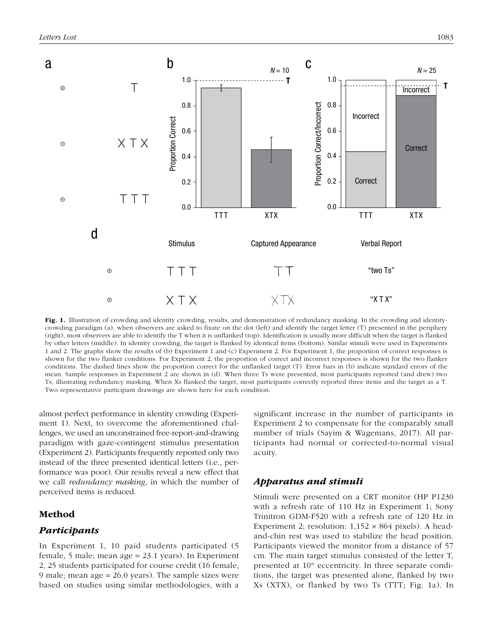

Fig. 1. Illustration of crowding and identity crowding, results, and demonstration of redundancy masking. In the crowding and identitycrowding paradigm (a), when observers are asked to fixate on the dot (left) and identify the target letter (T) presented in the periphery (right), most observers are able to identify the T when it is unflanked (top). Identification is usually more difficult when the target is flanked by other letters (middle). In identity crowding, the target is flanked by identical items (bottom). Similar stimuli were used in Experiments 1 and 2. The graphs show the results of (b) Experiment 1 and (c) Experiment 2. For Experiment 1, the proportion of correct responses is shown for the two flanker conditions. For Experiment 2, the proportion of correct and incorrect responses is shown for the two flanker conditions. The dashed lines show the proportion correct for the unflanked target (T). Error bars in (b) indicate standard errors of the mean. Sample responses in Experiment 2 are shown in (d). When three Ts were presented, most participants reported (and drew) two Ts, illustrating redundancy masking. When Xs flanked the target, most participants correctly reported three items and the target as a T. Two representative participant drawings are shown here for each condition.

almost perfect performance in identity crowding (Experiment 1). Next, to overcome the aforementioned challenges, we used an unconstrained free-report-and-drawing paradigm with gaze-contingent stimulus presentation (Experiment 2). Participants frequently reported only two instead of the three presented identical letters (i.e., performance was poor). Our results reveal a new effect that we call *redundancy masking*, in which the number of perceived items is reduced.

## Method

## *Participants*

In Experiment 1, 10 paid students participated (5 female, 5 male; mean age = 23.1 years). In Experiment 2, 25 students participated for course credit (16 female, 9 male; mean age = 26.0 years). The sample sizes were based on studies using similar methodologies, with a significant increase in the number of participants in Experiment 2 to compensate for the comparably small number of trials (Sayim & Wagemans, 2017). All participants had normal or corrected-to-normal visual acuity.

## *Apparatus and stimuli*

Stimuli were presented on a CRT monitor (HP P1230 with a refresh rate of 110 Hz in Experiment 1; Sony Trinitron GDM-F520 with a refresh rate of 120 Hz in Experiment 2; resolution:  $1,152 \times 864$  pixels). A headand-chin rest was used to stabilize the head position. Participants viewed the monitor from a distance of 57 cm. The main target stimulus consisted of the letter T, presented at 10° eccentricity. In three separate conditions, the target was presented alone, flanked by two Xs (XTX), or flanked by two Ts (TTT; Fig. 1a). In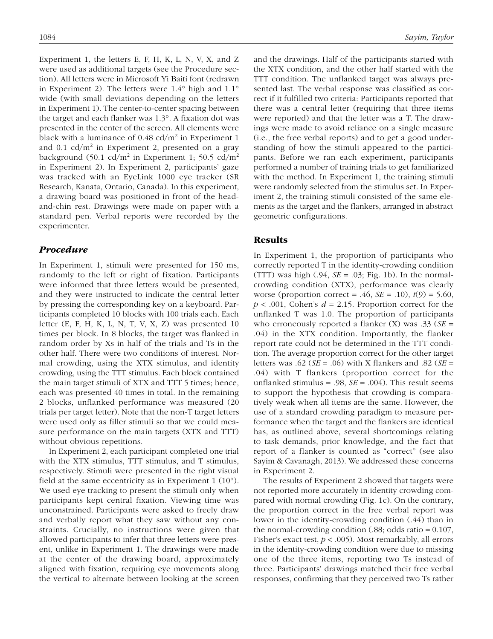Experiment 1, the letters E, F, H, K, L, N, V, X, and Z were used as additional targets (see the Procedure section). All letters were in Microsoft Yi Baiti font (redrawn in Experiment 2). The letters were  $1.4^{\circ}$  high and  $1.1^{\circ}$ wide (with small deviations depending on the letters in Experiment 1). The center-to-center spacing between the target and each flanker was 1.3°. A fixation dot was presented in the center of the screen. All elements were black with a luminance of  $0.48$  cd/m<sup>2</sup> in Experiment 1 and 0.1  $\text{cd/m}^2$  in Experiment 2, presented on a gray background (50.1 cd/m<sup>2</sup> in Experiment 1; 50.5 cd/m<sup>2</sup> in Experiment 2). In Experiment 2, participants' gaze was tracked with an EyeLink 1000 eye tracker (SR Research, Kanata, Ontario, Canada). In this experiment, a drawing board was positioned in front of the headand-chin rest. Drawings were made on paper with a standard pen. Verbal reports were recorded by the experimenter.

## *Procedure*

In Experiment 1, stimuli were presented for 150 ms, randomly to the left or right of fixation. Participants were informed that three letters would be presented, and they were instructed to indicate the central letter by pressing the corresponding key on a keyboard. Participants completed 10 blocks with 100 trials each. Each letter (E, F, H, K, L, N, T, V, X, Z) was presented 10 times per block. In 8 blocks, the target was flanked in random order by Xs in half of the trials and Ts in the other half. There were two conditions of interest. Normal crowding, using the XTX stimulus, and identity crowding, using the TTT stimulus. Each block contained the main target stimuli of XTX and TTT 5 times; hence, each was presented 40 times in total. In the remaining 2 blocks, unflanked performance was measured (20 trials per target letter). Note that the non-T target letters were used only as filler stimuli so that we could measure performance on the main targets (XTX and TTT) without obvious repetitions.

In Experiment 2, each participant completed one trial with the XTX stimulus, TTT stimulus, and T stimulus, respectively. Stimuli were presented in the right visual field at the same eccentricity as in Experiment  $1(10^{\circ})$ . We used eye tracking to present the stimuli only when participants kept central fixation. Viewing time was unconstrained. Participants were asked to freely draw and verbally report what they saw without any constraints. Crucially, no instructions were given that allowed participants to infer that three letters were present, unlike in Experiment 1. The drawings were made at the center of the drawing board, approximately aligned with fixation, requiring eye movements along the vertical to alternate between looking at the screen and the drawings. Half of the participants started with the XTX condition, and the other half started with the TTT condition. The unflanked target was always presented last. The verbal response was classified as correct if it fulfilled two criteria: Participants reported that there was a central letter (requiring that three items were reported) and that the letter was a T. The drawings were made to avoid reliance on a single measure (i.e., the free verbal reports) and to get a good understanding of how the stimuli appeared to the participants. Before we ran each experiment, participants performed a number of training trials to get familiarized with the method. In Experiment 1, the training stimuli were randomly selected from the stimulus set. In Experiment 2, the training stimuli consisted of the same elements as the target and the flankers, arranged in abstract geometric configurations.

## Results

In Experiment 1, the proportion of participants who correctly reported T in the identity-crowding condition (TTT) was high  $(.94, SE = .03; Fig. 1b)$ . In the normalcrowding condition (XTX), performance was clearly worse (proportion correct = .46, *SE* = .10), *t*(9) = 5.60,  $p < .001$ , Cohen's  $d = 2.15$ . Proportion correct for the unflanked T was 1.0. The proportion of participants who erroneously reported a flanker (X) was .33 (*SE* = .04) in the XTX condition. Importantly, the flanker report rate could not be determined in the TTT condition. The average proportion correct for the other target letters was .62 (*SE* = .06) with X flankers and .82 (*SE* = .04) with T flankers (proportion correct for the unflanked stimulus = .98, *SE* = .004). This result seems to support the hypothesis that crowding is comparatively weak when all items are the same. However, the use of a standard crowding paradigm to measure performance when the target and the flankers are identical has, as outlined above, several shortcomings relating to task demands, prior knowledge, and the fact that report of a flanker is counted as "correct" (see also Sayim & Cavanagh, 2013). We addressed these concerns in Experiment 2.

The results of Experiment 2 showed that targets were not reported more accurately in identity crowding compared with normal crowding (Fig. 1c). On the contrary, the proportion correct in the free verbal report was lower in the identity-crowding condition (.44) than in the normal-crowding condition  $(.88; \text{ odds ratio} = 0.107,$ Fisher's exact test, *p* < .005). Most remarkably, all errors in the identity-crowding condition were due to missing one of the three items, reporting two Ts instead of three. Participants' drawings matched their free verbal responses, confirming that they perceived two Ts rather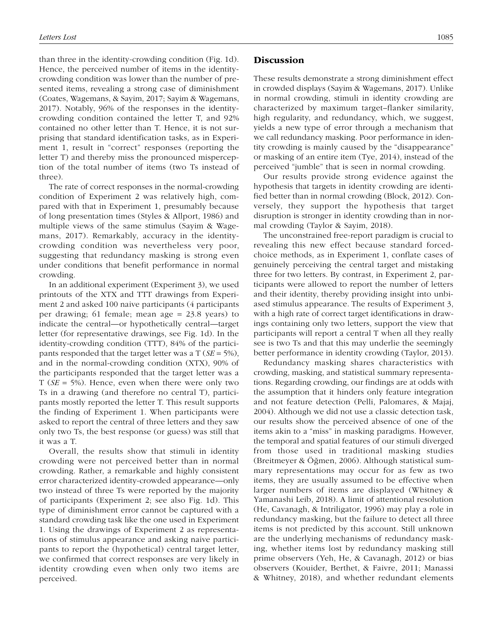than three in the identity-crowding condition (Fig. 1d). Hence, the perceived number of items in the identitycrowding condition was lower than the number of presented items, revealing a strong case of diminishment (Coates, Wagemans, & Sayim, 2017; Sayim & Wagemans, 2017). Notably, 96% of the responses in the identitycrowding condition contained the letter T, and 92% contained no other letter than T. Hence, it is not surprising that standard identification tasks, as in Experiment 1, result in "correct" responses (reporting the letter T) and thereby miss the pronounced misperception of the total number of items (two Ts instead of three).

The rate of correct responses in the normal-crowding condition of Experiment 2 was relatively high, compared with that in Experiment 1, presumably because of long presentation times (Styles & Allport, 1986) and multiple views of the same stimulus (Sayim & Wagemans, 2017). Remarkably, accuracy in the identitycrowding condition was nevertheless very poor, suggesting that redundancy masking is strong even under conditions that benefit performance in normal crowding.

In an additional experiment (Experiment 3), we used printouts of the XTX and TTT drawings from Experiment 2 and asked 100 naive participants (4 participants per drawing; 61 female; mean age = 23.8 years) to indicate the central—or hypothetically central—target letter (for representative drawings, see Fig. 1d). In the identity-crowding condition (TTT), 84% of the participants responded that the target letter was a T (*SE* = 5%), and in the normal-crowding condition (XTX), 90% of the participants responded that the target letter was a T (*SE* = 5%). Hence, even when there were only two Ts in a drawing (and therefore no central T), participants mostly reported the letter T. This result supports the finding of Experiment 1. When participants were asked to report the central of three letters and they saw only two Ts, the best response (or guess) was still that it was a T.

Overall, the results show that stimuli in identity crowding were not perceived better than in normal crowding. Rather, a remarkable and highly consistent error characterized identity-crowded appearance—only two instead of three Ts were reported by the majority of participants (Experiment 2; see also Fig. 1d). This type of diminishment error cannot be captured with a standard crowding task like the one used in Experiment 1. Using the drawings of Experiment 2 as representations of stimulus appearance and asking naive participants to report the (hypothetical) central target letter, we confirmed that correct responses are very likely in identity crowding even when only two items are perceived.

## **Discussion**

These results demonstrate a strong diminishment effect in crowded displays (Sayim & Wagemans, 2017). Unlike in normal crowding, stimuli in identity crowding are characterized by maximum target–flanker similarity, high regularity, and redundancy, which, we suggest, yields a new type of error through a mechanism that we call redundancy masking. Poor performance in identity crowding is mainly caused by the "disappearance" or masking of an entire item (Tye, 2014), instead of the perceived "jumble" that is seen in normal crowding.

Our results provide strong evidence against the hypothesis that targets in identity crowding are identified better than in normal crowding (Block, 2012). Conversely, they support the hypothesis that target disruption is stronger in identity crowding than in normal crowding (Taylor & Sayim, 2018).

The unconstrained free-report paradigm is crucial to revealing this new effect because standard forcedchoice methods, as in Experiment 1, conflate cases of genuinely perceiving the central target and mistaking three for two letters. By contrast, in Experiment 2, participants were allowed to report the number of letters and their identity, thereby providing insight into unbiased stimulus appearance. The results of Experiment 3, with a high rate of correct target identifications in drawings containing only two letters, support the view that participants will report a central T when all they really see is two Ts and that this may underlie the seemingly better performance in identity crowding (Taylor, 2013).

Redundancy masking shares characteristics with crowding, masking, and statistical summary representations. Regarding crowding, our findings are at odds with the assumption that it hinders only feature integration and not feature detection (Pelli, Palomares, & Majaj, 2004). Although we did not use a classic detection task, our results show the perceived absence of one of the items akin to a "miss" in masking paradigms. However, the temporal and spatial features of our stimuli diverged from those used in traditional masking studies (Breitmeyer & Öğmen, 2006). Although statistical summary representations may occur for as few as two items, they are usually assumed to be effective when larger numbers of items are displayed (Whitney & Yamanashi Leib, 2018). A limit of attentional resolution (He, Cavanagh, & Intriligator, 1996) may play a role in redundancy masking, but the failure to detect all three items is not predicted by this account. Still unknown are the underlying mechanisms of redundancy masking, whether items lost by redundancy masking still prime observers (Yeh, He, & Cavanagh, 2012) or bias observers (Kouider, Berthet, & Faivre, 2011; Manassi & Whitney, 2018), and whether redundant elements